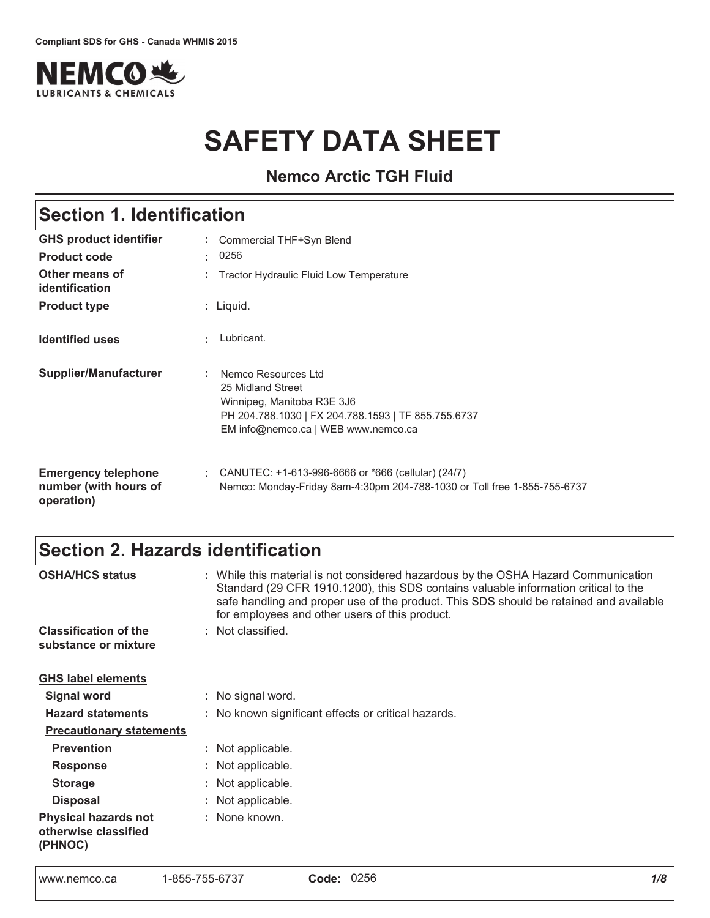

# **SAFETY DATA SHEET**

**Nemco Arctic TGH Fluid**

| <b>Section 1. Identification</b>                                  |                                                                                                                                                                      |
|-------------------------------------------------------------------|----------------------------------------------------------------------------------------------------------------------------------------------------------------------|
| <b>GHS product identifier</b>                                     | : Commercial THF+Syn Blend                                                                                                                                           |
| <b>Product code</b>                                               | 0256<br>÷.                                                                                                                                                           |
| Other means of<br>identification                                  | Tractor Hydraulic Fluid Low Temperature                                                                                                                              |
| <b>Product type</b>                                               | : Liquid.                                                                                                                                                            |
| <b>Identified uses</b>                                            | Lubricant.<br>ж.                                                                                                                                                     |
| <b>Supplier/Manufacturer</b>                                      | Nemco Resources Ltd<br>25 Midland Street<br>Winnipeg, Manitoba R3E 3J6<br>PH 204.788.1030   FX 204.788.1593   TF 855.755.6737<br>EM info@nemco.ca   WEB www.nemco.ca |
| <b>Emergency telephone</b><br>number (with hours of<br>operation) | : CANUTEC: $+1-613-996-6666$ or $*666$ (cellular) (24/7)<br>Nemco: Monday-Friday 8am-4:30pm 204-788-1030 or Toll free 1-855-755-6737                                 |

# Section 2. Hazards identification

| <b>OSHA/HCS status</b>                                         | : While this material is not considered hazardous by the OSHA Hazard Communication<br>Standard (29 CFR 1910.1200), this SDS contains valuable information critical to the<br>safe handling and proper use of the product. This SDS should be retained and available<br>for employees and other users of this product. |
|----------------------------------------------------------------|-----------------------------------------------------------------------------------------------------------------------------------------------------------------------------------------------------------------------------------------------------------------------------------------------------------------------|
| <b>Classification of the</b><br>substance or mixture           | : Not classified.                                                                                                                                                                                                                                                                                                     |
| <b>GHS label elements</b>                                      |                                                                                                                                                                                                                                                                                                                       |
| <b>Signal word</b>                                             | : No signal word.                                                                                                                                                                                                                                                                                                     |
| <b>Hazard statements</b>                                       | : No known significant effects or critical hazards.                                                                                                                                                                                                                                                                   |
| <b>Precautionary statements</b>                                |                                                                                                                                                                                                                                                                                                                       |
| <b>Prevention</b>                                              | : Not applicable.                                                                                                                                                                                                                                                                                                     |
| <b>Response</b>                                                | : Not applicable.                                                                                                                                                                                                                                                                                                     |
| <b>Storage</b>                                                 | : Not applicable.                                                                                                                                                                                                                                                                                                     |
| <b>Disposal</b>                                                | : Not applicable.                                                                                                                                                                                                                                                                                                     |
| <b>Physical hazards not</b><br>otherwise classified<br>(PHNOC) | : None known.                                                                                                                                                                                                                                                                                                         |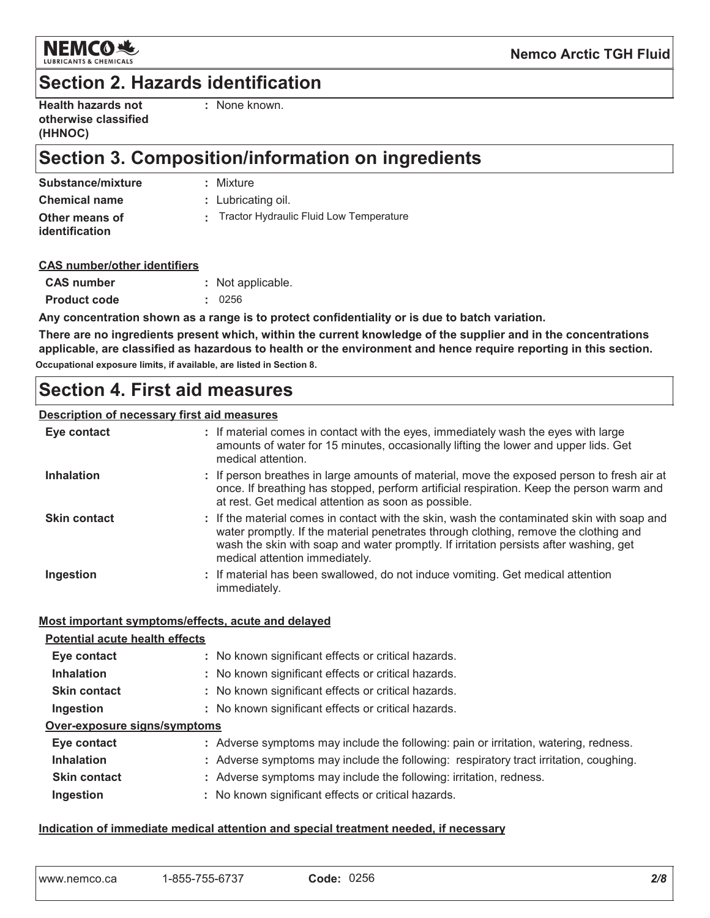

### **Section 2. Hazards identification**

| <b>Health hazards not</b> |
|---------------------------|
| otherwise classified      |
| (HHNOC)                   |

: None known.

# Section 3. Composition/information on ingredients

**Chemical name** 

Other means of identification

: Mixture

: Lubricating oil.

: Tractor Hydraulic Fluid Low Temperature

#### **CAS number/other identifiers**

| <b>CAS number</b>   | : Not applicable. |
|---------------------|-------------------|
| <b>Product code</b> | $\div$ 0256       |

Any concentration shown as a range is to protect confidentiality or is due to batch variation.

There are no ingredients present which, within the current knowledge of the supplier and in the concentrations applicable, are classified as hazardous to health or the environment and hence require reporting in this section. Occupational exposure limits, if available, are listed in Section 8.

### **Section 4. First aid measures**

#### **Description of necessary first aid measures**

| Eye contact         | : If material comes in contact with the eyes, immediately wash the eyes with large<br>amounts of water for 15 minutes, occasionally lifting the lower and upper lids. Get<br>medical attention.                                                                                                               |
|---------------------|---------------------------------------------------------------------------------------------------------------------------------------------------------------------------------------------------------------------------------------------------------------------------------------------------------------|
| <b>Inhalation</b>   | : If person breathes in large amounts of material, move the exposed person to fresh air at<br>once. If breathing has stopped, perform artificial respiration. Keep the person warm and<br>at rest. Get medical attention as soon as possible.                                                                 |
| <b>Skin contact</b> | : If the material comes in contact with the skin, wash the contaminated skin with soap and<br>water promptly. If the material penetrates through clothing, remove the clothing and<br>wash the skin with soap and water promptly. If irritation persists after washing, get<br>medical attention immediately. |
| Ingestion           | : If material has been swallowed, do not induce vomiting. Get medical attention<br>immediately.                                                                                                                                                                                                               |

#### Most important symptoms/effects, acute and delayed

| <b>Potential acute health effects</b> |                                                                                       |
|---------------------------------------|---------------------------------------------------------------------------------------|
| Eye contact                           | : No known significant effects or critical hazards.                                   |
| <b>Inhalation</b>                     | : No known significant effects or critical hazards.                                   |
| <b>Skin contact</b>                   | : No known significant effects or critical hazards.                                   |
| Ingestion                             | : No known significant effects or critical hazards.                                   |
| Over-exposure signs/symptoms          |                                                                                       |
| Eye contact                           | : Adverse symptoms may include the following: pain or irritation, watering, redness.  |
| <b>Inhalation</b>                     | : Adverse symptoms may include the following: respiratory tract irritation, coughing. |
| <b>Skin contact</b>                   | : Adverse symptoms may include the following: irritation, redness.                    |
| Ingestion                             | : No known significant effects or critical hazards.                                   |

#### Indication of immediate medical attention and special treatment needed, if necessary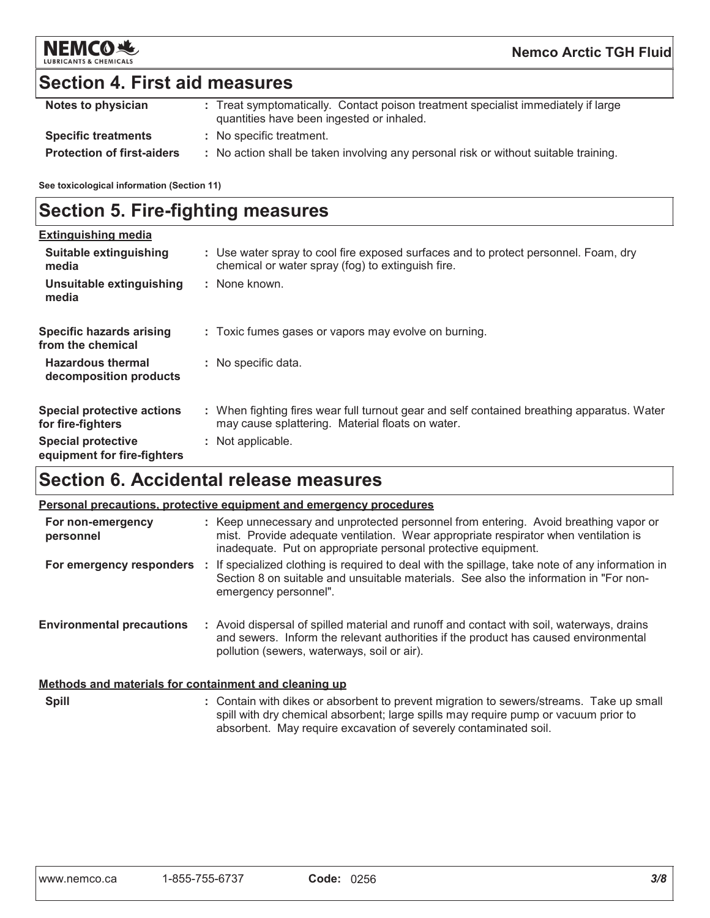

### **Section 4. First aid measures**

| Notes to physician                | : Treat symptomatically. Contact poison treatment specialist immediately if large<br>quantities have been ingested or inhaled. |
|-----------------------------------|--------------------------------------------------------------------------------------------------------------------------------|
| <b>Specific treatments</b>        | : No specific treatment.                                                                                                       |
| <b>Protection of first-aiders</b> | : No action shall be taken involving any personal risk or without suitable training.                                           |

See toxicological information (Section 11)

# **Section 5. Fire-fighting measures**

| <b>Extinguishing media</b>                               |                                                                                                                                                |
|----------------------------------------------------------|------------------------------------------------------------------------------------------------------------------------------------------------|
| Suitable extinguishing<br>media                          | : Use water spray to cool fire exposed surfaces and to protect personnel. Foam, dry<br>chemical or water spray (fog) to extinguish fire.       |
| Unsuitable extinguishing<br>media                        | : None known.                                                                                                                                  |
| <b>Specific hazards arising</b><br>from the chemical     | : Toxic fumes gases or vapors may evolve on burning.                                                                                           |
| <b>Hazardous thermal</b><br>decomposition products       | : No specific data.                                                                                                                            |
| <b>Special protective actions</b><br>for fire-fighters   | : When fighting fires wear full turnout gear and self contained breathing apparatus. Water<br>may cause splattering. Material floats on water. |
| <b>Special protective</b><br>equipment for fire-fighters | : Not applicable.                                                                                                                              |

### **Section 6. Accidental release measures**

#### Personal precautions, protective equipment and emergency procedures

| For non-emergency<br>personnel   | : Keep unnecessary and unprotected personnel from entering. Avoid breathing vapor or<br>mist. Provide adequate ventilation. Wear appropriate respirator when ventilation is<br>inadequate. Put on appropriate personal protective equipment. |
|----------------------------------|----------------------------------------------------------------------------------------------------------------------------------------------------------------------------------------------------------------------------------------------|
| For emergency responders         | If specialized clothing is required to deal with the spillage, take note of any information in<br>Section 8 on suitable and unsuitable materials. See also the information in "For non-<br>emergency personnel".                             |
| <b>Environmental precautions</b> | : Avoid dispersal of spilled material and runoff and contact with soil, waterways, drains<br>and sewers. Inform the relevant authorities if the product has caused environmental<br>pollution (sewers, waterways, soil or air).              |

#### Methods and materials for containment and cleaning up

Spill

: Contain with dikes or absorbent to prevent migration to sewers/streams. Take up small spill with dry chemical absorbent; large spills may require pump or vacuum prior to absorbent. May require excavation of severely contaminated soil.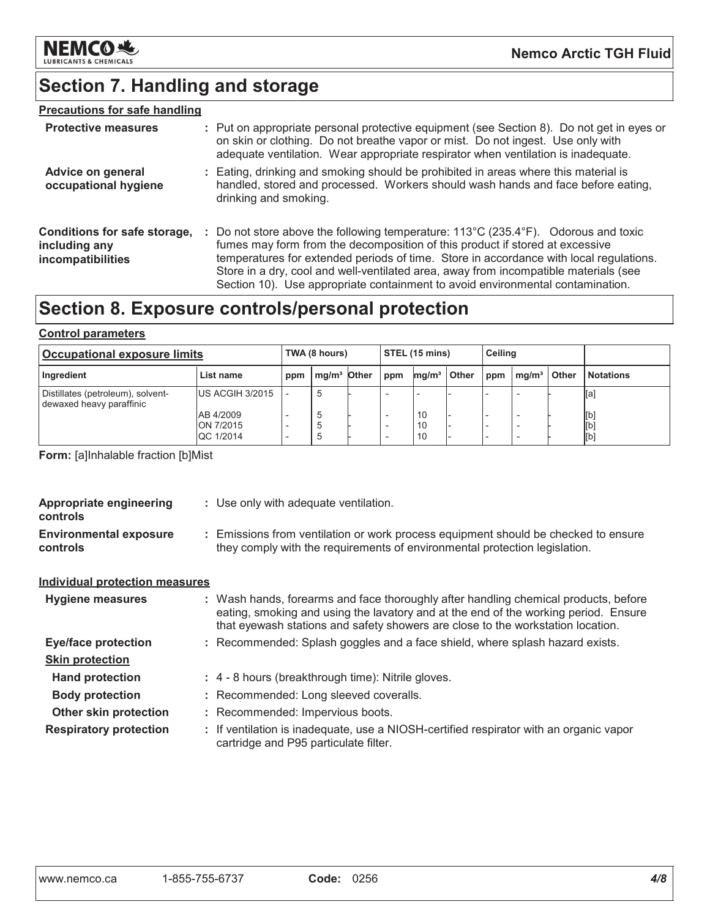

# **Section 7. Handling and storage**

#### **Precautions for safe handling**

| <b>Protective measures</b>                                         | : Put on appropriate personal protective equipment (see Section 8). Do not get in eyes or<br>on skin or clothing. Do not breathe vapor or mist. Do not ingest. Use only with<br>adequate ventilation. Wear appropriate respirator when ventilation is inadequate.                                                                                                                                                                                           |
|--------------------------------------------------------------------|-------------------------------------------------------------------------------------------------------------------------------------------------------------------------------------------------------------------------------------------------------------------------------------------------------------------------------------------------------------------------------------------------------------------------------------------------------------|
| Advice on general<br>occupational hygiene                          | : Eating, drinking and smoking should be prohibited in areas where this material is<br>handled, stored and processed. Workers should wash hands and face before eating,<br>drinking and smoking.                                                                                                                                                                                                                                                            |
| Conditions for safe storage,<br>including any<br>incompatibilities | : Do not store above the following temperature: $113^{\circ}$ C (235.4 $^{\circ}$ F). Odorous and toxic<br>fumes may form from the decomposition of this product if stored at excessive<br>temperatures for extended periods of time. Store in accordance with local regulations.<br>Store in a dry, cool and well-ventilated area, away from incompatible materials (see<br>Section 10). Use appropriate containment to avoid environmental contamination. |

# Section 8. Exposure controls/personal protection

#### **Control parameters**

| <b>Occupational exposure limits</b>                           |                                     |     | TWA (8 hours)           |  |     | <b>STEL (15 mins)</b> |              |     | Ceiling           |              |                   |
|---------------------------------------------------------------|-------------------------------------|-----|-------------------------|--|-----|-----------------------|--------------|-----|-------------------|--------------|-------------------|
| Ingredient                                                    | List name                           | ppm | mg/m <sup>3</sup> Other |  | ppm | mg/m <sup>3</sup>     | <b>Other</b> | ppm | mg/m <sup>3</sup> | <b>Other</b> | <b>Notations</b>  |
| Distillates (petroleum), solvent-<br>dewaxed heavy paraffinic | <b>IUS ACGIH 3/2015</b>             |     | 5                       |  |     |                       |              |     |                   |              | [a]               |
|                                                               | AB 4/2009<br>ON 7/2015<br>QC 1/2014 |     | . 5                     |  |     | 10<br>10<br>10        |              |     |                   |              | [b]<br>[b]<br>[b] |

Form: [a]Inhalable fraction [b]Mist

| <b>Appropriate engineering</b><br>controls       | : Use only with adequate ventilation.                                                                                                                                                                                                                         |  |
|--------------------------------------------------|---------------------------------------------------------------------------------------------------------------------------------------------------------------------------------------------------------------------------------------------------------------|--|
| <b>Environmental exposure</b><br><b>controls</b> | : Emissions from ventilation or work process equipment should be checked to ensure<br>they comply with the requirements of environmental protection legislation.                                                                                              |  |
| <b>Individual protection measures</b>            |                                                                                                                                                                                                                                                               |  |
| <b>Hygiene measures</b>                          | : Wash hands, forearms and face thoroughly after handling chemical products, before<br>eating, smoking and using the lavatory and at the end of the working period. Ensure<br>that eyewash stations and safety showers are close to the workstation location. |  |
| <b>Eye/face protection</b>                       | : Recommended: Splash goggles and a face shield, where splash hazard exists.                                                                                                                                                                                  |  |
| <b>Skin protection</b>                           |                                                                                                                                                                                                                                                               |  |
| <b>Hand protection</b>                           | : 4 - 8 hours (breakthrough time): Nitrile gloves.                                                                                                                                                                                                            |  |
| <b>Body protection</b>                           | : Recommended: Long sleeved coveralls.                                                                                                                                                                                                                        |  |
| <b>Other skin protection</b>                     | : Recommended: Impervious boots.                                                                                                                                                                                                                              |  |
| <b>Respiratory protection</b>                    | : If ventilation is inadequate, use a NIOSH-certified respirator with an organic vapor<br>cartridge and P95 particulate filter.                                                                                                                               |  |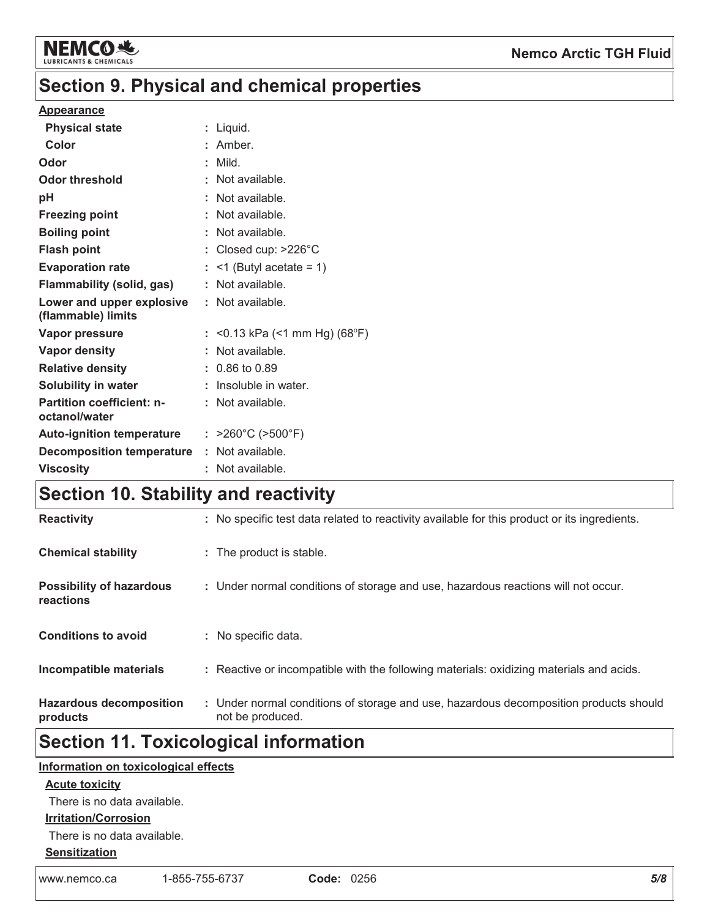

#### **Nemco Arctic TGH Fluid**

# Section 9. Physical and chemical properties

#### **Appearance**

| <b>Physical state</b>                             | : Liquid.                              |
|---------------------------------------------------|----------------------------------------|
| Color                                             | : Amber.                               |
| Odor                                              | : Mild.                                |
| <b>Odor threshold</b>                             | : Not available.                       |
| рH                                                | : Not available.                       |
| <b>Freezing point</b>                             | : Not available.                       |
| <b>Boiling point</b>                              | : Not available.                       |
| <b>Flash point</b>                                | : Closed cup: $>226^{\circ}$ C         |
| <b>Evaporation rate</b>                           | $:$ <1 (Butyl acetate = 1)             |
| <b>Flammability (solid, gas)</b>                  | : Not available.                       |
| Lower and upper explosive<br>(flammable) limits   | : Not available.                       |
| <b>Vapor pressure</b>                             | : $<$ 0.13 kPa ( $<$ 1 mm Hg) (68°F)   |
| <b>Vapor density</b>                              | : Not available.                       |
| <b>Relative density</b>                           | $: 0.86$ to 0.89                       |
| <b>Solubility in water</b>                        | : Insoluble in water.                  |
| <b>Partition coefficient: n-</b><br>octanol/water | : Not available.                       |
| <b>Auto-ignition temperature</b>                  | : $>260^{\circ}$ C ( $>500^{\circ}$ F) |
| <b>Decomposition temperature</b>                  | : Not available.                       |
| <b>Viscosity</b>                                  | : Not available.                       |
|                                                   |                                        |

### Section 10. Stability and reactivity

| <b>Hazardous decomposition</b><br>products   | : Under normal conditions of storage and use, hazardous decomposition products should<br>not be produced. |
|----------------------------------------------|-----------------------------------------------------------------------------------------------------------|
| Incompatible materials                       | : Reactive or incompatible with the following materials: oxidizing materials and acids.                   |
| <b>Conditions to avoid</b>                   | : No specific data.                                                                                       |
| <b>Possibility of hazardous</b><br>reactions | : Under normal conditions of storage and use, hazardous reactions will not occur.                         |
| <b>Chemical stability</b>                    | : The product is stable.                                                                                  |
| <b>Reactivity</b>                            | : No specific test data related to reactivity available for this product or its ingredients.              |

### **Section 11. Toxicological information**

#### Information on toxicological effects

#### **Acute toxicity**

There is no data available.

#### **Irritation/Corrosion**

There is no data available.

#### **Sensitization**

www.nemco.ca 1-855-755-6737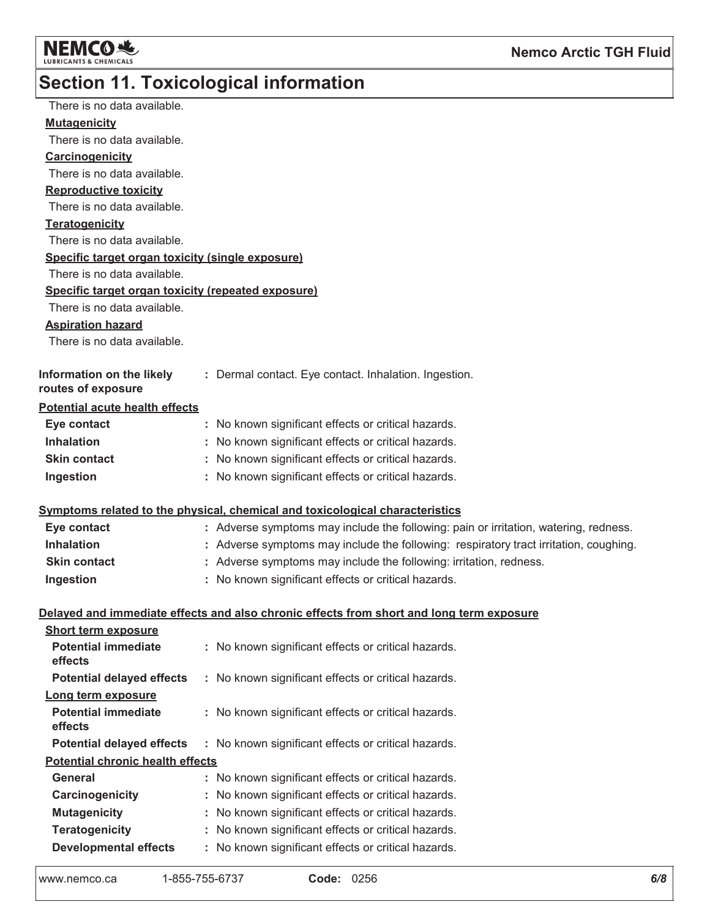

# Section 11. Toxicological information

| There is no data available.                        |                                                                                          |
|----------------------------------------------------|------------------------------------------------------------------------------------------|
| <b>Mutagenicity</b>                                |                                                                                          |
| There is no data available.                        |                                                                                          |
| Carcinogenicity                                    |                                                                                          |
| There is no data available.                        |                                                                                          |
| <b>Reproductive toxicity</b>                       |                                                                                          |
| There is no data available.                        |                                                                                          |
| <b>Teratogenicity</b>                              |                                                                                          |
| There is no data available.                        |                                                                                          |
| Specific target organ toxicity (single exposure)   |                                                                                          |
| There is no data available.                        |                                                                                          |
| Specific target organ toxicity (repeated exposure) |                                                                                          |
| There is no data available.                        |                                                                                          |
| <b>Aspiration hazard</b>                           |                                                                                          |
| There is no data available.                        |                                                                                          |
|                                                    |                                                                                          |
| Information on the likely                          | : Dermal contact. Eye contact. Inhalation. Ingestion.                                    |
| routes of exposure                                 |                                                                                          |
| Potential acute health effects                     |                                                                                          |
| Eye contact                                        | : No known significant effects or critical hazards.                                      |
| <b>Inhalation</b>                                  | No known significant effects or critical hazards.                                        |
| <b>Skin contact</b>                                | No known significant effects or critical hazards.                                        |
| Ingestion                                          | : No known significant effects or critical hazards.                                      |
|                                                    |                                                                                          |
|                                                    | Symptoms related to the physical, chemical and toxicological characteristics             |
| Eye contact                                        | : Adverse symptoms may include the following: pain or irritation, watering, redness.     |
| <b>Inhalation</b>                                  | : Adverse symptoms may include the following: respiratory tract irritation, coughing.    |
| <b>Skin contact</b>                                | : Adverse symptoms may include the following: irritation, redness.                       |
| Ingestion                                          | : No known significant effects or critical hazards.                                      |
|                                                    |                                                                                          |
|                                                    | Delayed and immediate effects and also chronic effects from short and long term exposure |
| <b>Short term exposure</b>                         |                                                                                          |
| <b>Potential immediate</b><br>effects              | : No known significant effects or critical hazards.                                      |
| <b>Potential delayed effects</b>                   | : No known significant effects or critical hazards.                                      |
|                                                    |                                                                                          |
| Long term exposure<br><b>Potential immediate</b>   | : No known significant effects or critical hazards.                                      |
| effects                                            |                                                                                          |
| <b>Potential delayed effects</b>                   | : No known significant effects or critical hazards.                                      |
| <b>Potential chronic health effects</b>            |                                                                                          |
| General                                            | : No known significant effects or critical hazards.                                      |
| Carcinogenicity                                    | : No known significant effects or critical hazards.                                      |
| <b>Mutagenicity</b>                                | No known significant effects or critical hazards.                                        |
| <b>Teratogenicity</b>                              | : No known significant effects or critical hazards.                                      |
| <b>Developmental effects</b>                       | : No known significant effects or critical hazards.                                      |
|                                                    |                                                                                          |
|                                                    |                                                                                          |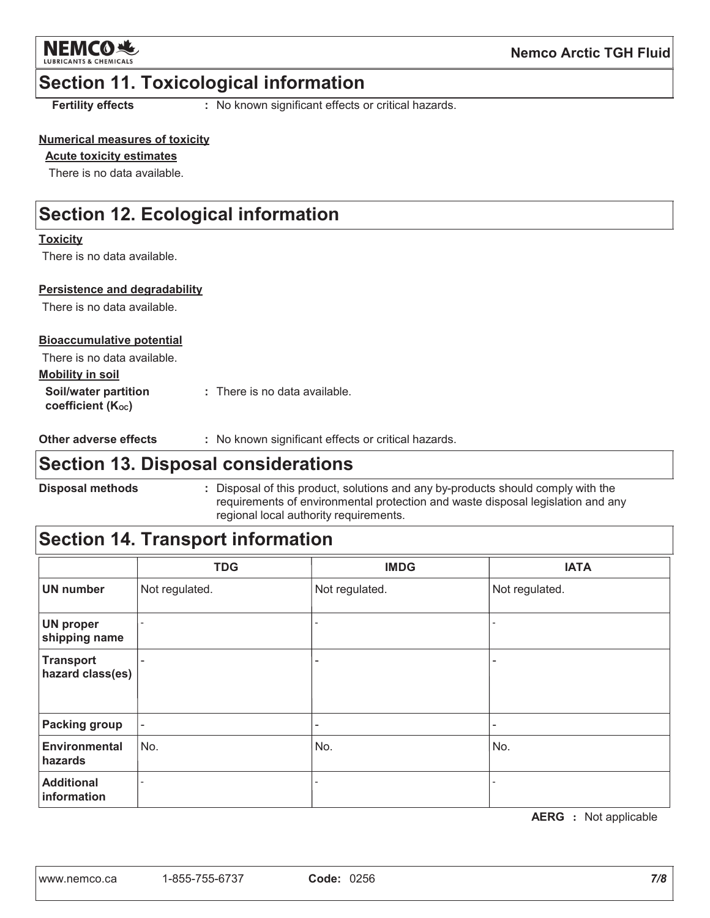

#### **Section 11. Toxicological information**

**Fertility effects** 

: No known significant effects or critical hazards.

#### **Numerical measures of toxicity**

#### **Acute toxicity estimates**

There is no data available.

### **Section 12. Ecological information**

#### **Toxicity**

There is no data available.

#### **Persistence and degradability**

There is no data available.

#### **Bioaccumulative potential**

| There is no data available.                            |                                 |
|--------------------------------------------------------|---------------------------------|
| <u>Mobility in soil</u>                                |                                 |
| Soil/water partition<br>coefficient (K <sub>oc</sub> ) | $:$ There is no data available. |

Other adverse effects : No known significant effects or critical hazards.

### **Section 13. Disposal considerations**

**Disposal methods** 

: Disposal of this product, solutions and any by-products should comply with the requirements of environmental protection and waste disposal legislation and any regional local authority requirements.

### **Section 14. Transport information**

|                                   | <b>TDG</b>               | <b>IMDG</b>    | <b>IATA</b>    |
|-----------------------------------|--------------------------|----------------|----------------|
| <b>UN</b> number                  | Not regulated.           | Not regulated. | Not regulated. |
| <b>UN proper</b><br>shipping name |                          |                |                |
| Transport<br>hazard class(es)     |                          |                |                |
| <b>Packing group</b>              | $\overline{\phantom{a}}$ | -              | ۰              |
| Environmental<br>hazards          | No.                      | No.            | No.            |
| <b>Additional</b><br>information  |                          |                |                |

**AERG** : Not applicable